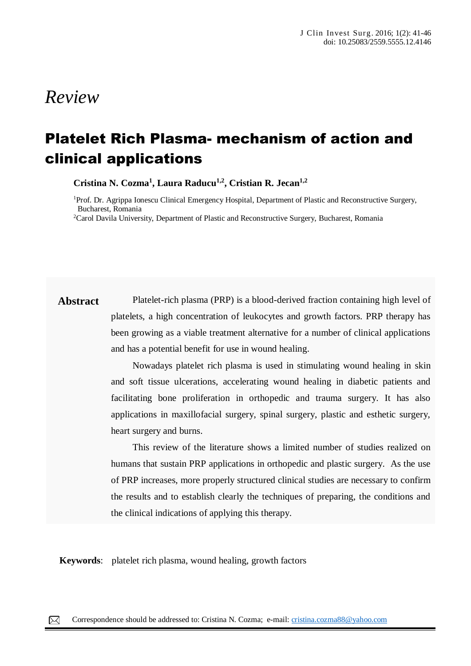# *Review*

# Platelet Rich Plasma- mechanism of action and clinical applications

**Cristina N. Cozma<sup>1</sup> , Laura Raducu1,2 , Cristian R. Jecan1,2**

<sup>1</sup>Prof. Dr. Agrippa Ionescu Clinical Emergency Hospital, Department of Plastic and Reconstructive Surgery, Bucharest, Romania

<sup>2</sup>Carol Davila University, Department of Plastic and Reconstructive Surgery, Bucharest, Romania

**Abstract** Platelet-rich plasma (PRP) is a blood-derived fraction containing high level of platelets, a high concentration of leukocytes and growth factors. PRP therapy has been growing as a viable treatment alternative for a number of clinical applications and has a potential benefit for use in wound healing.

> Nowadays platelet rich plasma is used in stimulating wound healing in skin and soft tissue ulcerations, accelerating wound healing in diabetic patients and facilitating bone proliferation in orthopedic and trauma surgery. It has also applications in maxillofacial surgery, spinal surgery, plastic and esthetic surgery, heart surgery and burns.

> This review of the literature shows a limited number of studies realized on humans that sustain PRP applications in orthopedic and plastic surgery. As the use of PRP increases, more properly structured clinical studies are necessary to confirm the results and to establish clearly the techniques of preparing, the conditions and the clinical indications of applying this therapy.

**Keywords**: platelet rich plasma, wound healing, growth factors

papules, pustules, nodules and sometimes hematic or meliceric crusts, located on the face, trunk, neck, arms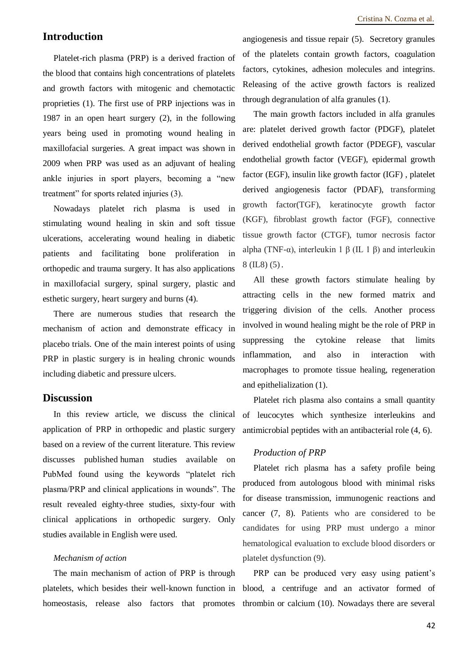# **Introduction**

Platelet-rich plasma (PRP) is a derived fraction of the blood that contains high concentrations of platelets and growth factors with mitogenic and chemotactic proprieties (1). The first use of PRP injections was in 1987 in an open heart surgery (2), in the following years being used in promoting wound healing in maxillofacial surgeries. A great impact was shown in 2009 when PRP was used as an adjuvant of healing ankle injuries in sport players, becoming a "new treatment" for sports related injuries (3).

Nowadays platelet rich plasma is used in stimulating wound healing in skin and soft tissue ulcerations, accelerating wound healing in diabetic patients and facilitating bone proliferation in orthopedic and trauma surgery. It has also applications in maxillofacial surgery, spinal surgery, plastic and esthetic surgery, heart surgery and burns (4).

There are numerous studies that research the mechanism of action and demonstrate efficacy in placebo trials. One of the main interest points of using PRP in plastic surgery is in healing chronic wounds including diabetic and pressure ulcers.

## **Discussion**

In this review article, we discuss the clinical application of PRP in orthopedic and plastic surgery based on a review of the current literature. This review discusses published human studies available on PubMed found using the keywords "platelet rich plasma/PRP and clinical applications in wounds". The result revealed eighty-three studies, sixty-four with clinical applications in orthopedic surgery. Only studies available in English were used.

### *Mechanism of action*

The main mechanism of action of PRP is through platelets, which besides their well-known function in homeostasis, release also factors that promotes

angiogenesis and tissue repair (5). Secretory granules of the platelets contain growth factors, coagulation factors, cytokines, adhesion molecules and integrins. Releasing of the active growth factors is realized through degranulation of alfa granules (1).

The main growth factors included in alfa granules are: platelet derived growth factor (PDGF), platelet derived endothelial growth factor (PDEGF), vascular endothelial growth factor (VEGF), epidermal growth factor (EGF), insulin like growth factor (IGF) , platelet derived angiogenesis factor (PDAF), transforming growth factor(TGF), keratinocyte growth factor (KGF), fibroblast growth factor (FGF), connective tissue growth factor (CTGF), tumor necrosis factor alpha (TNF-α), interleukin 1 β (IL 1 β) and interleukin 8 (IL8) (5).

All these growth factors stimulate healing by attracting cells in the new formed matrix and triggering division of the cells. Another process involved in wound healing might be the role of PRP in suppressing the cytokine release that limits inflammation, and also in interaction with macrophages to promote tissue healing, regeneration and epithelialization (1).

Platelet rich plasma also contains a small quantity of leucocytes which synthesize interleukins and antimicrobial peptides with an antibacterial role (4, 6).

### *Production of PRP*

Platelet rich plasma has a safety profile being produced from autologous blood with minimal risks for disease transmission, immunogenic reactions and cancer (7, 8). Patients who are considered to be candidates for using PRP must undergo a minor hematological evaluation to exclude blood disorders or platelet dysfunction (9).

PRP can be produced very easy using patient's blood, a centrifuge and an activator formed of thrombin or calcium (10). Nowadays there are several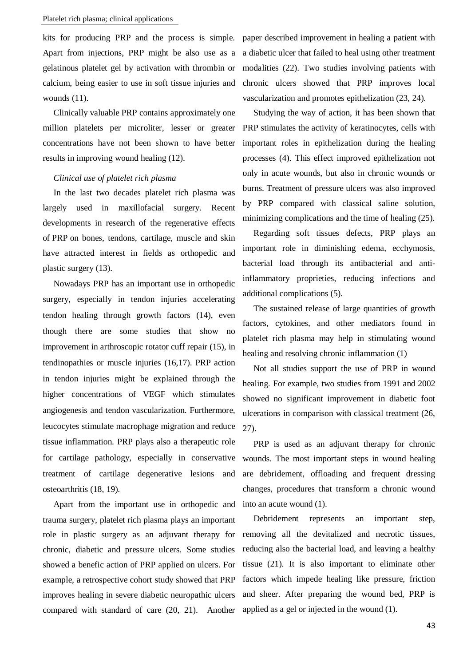kits for producing PRP and the process is simple. Apart from injections, PRP might be also use as a gelatinous platelet gel by activation with thrombin or calcium, being easier to use in soft tissue injuries and wounds (11).

Clinically valuable PRP contains approximately one million platelets per microliter, lesser or greater concentrations have not been shown to have better results in improving wound healing (12).

## *Clinical use of platelet rich plasma*

In the last two decades platelet rich plasma was largely used in maxillofacial surgery. Recent developments in research of the regenerative effects of PRP on bones, tendons, cartilage, muscle and skin have attracted interest in fields as orthopedic and plastic surgery (13).

Nowadays PRP has an important use in orthopedic surgery, especially in tendon injuries accelerating tendon healing through growth factors (14), even though there are some studies that show no improvement in arthroscopic rotator cuff repair (15), in tendinopathies or muscle injuries (16,17). PRP action in tendon injuries might be explained through the higher concentrations of VEGF which stimulates angiogenesis and tendon vascularization. Furthermore, leucocytes stimulate macrophage migration and reduce tissue inflammation. PRP plays also a therapeutic role for cartilage pathology, especially in conservative treatment of cartilage degenerative lesions and osteoarthritis (18, 19).

Apart from the important use in orthopedic and trauma surgery, platelet rich plasma plays an important role in plastic surgery as an adjuvant therapy for chronic, diabetic and pressure ulcers. Some studies showed a benefic action of PRP applied on ulcers. For example, a retrospective cohort study showed that PRP improves healing in severe diabetic neuropathic ulcers compared with standard of care (20, 21). Another

paper described improvement in healing a patient with a diabetic ulcer that failed to heal using other treatment modalities (22). Two studies involving patients with chronic ulcers showed that PRP improves local vascularization and promotes epithelization (23, 24).

Studying the way of action, it has been shown that PRP stimulates the activity of keratinocytes, cells with important roles in epithelization during the healing processes (4). This effect improved epithelization not only in acute wounds, but also in chronic wounds or burns. Treatment of pressure ulcers was also improved by PRP compared with classical saline solution, minimizing complications and the time of healing (25).

Regarding soft tissues defects, PRP plays an important role in diminishing edema, ecchymosis, bacterial load through its antibacterial and antiinflammatory proprieties, reducing infections and additional complications (5).

The sustained release of large quantities of growth factors, cytokines, and other mediators found in platelet rich plasma may help in stimulating wound healing and resolving chronic inflammation (1)

Not all studies support the use of PRP in wound healing. For example, two studies from 1991 and 2002 showed no significant improvement in diabetic foot ulcerations in comparison with classical treatment (26, 27).

PRP is used as an adjuvant therapy for chronic wounds. The most important steps in wound healing are debridement, offloading and frequent dressing changes, procedures that transform a chronic wound into an acute wound (1).

Debridement represents an important step, removing all the devitalized and necrotic tissues, reducing also the bacterial load, and leaving a healthy tissue (21). It is also important to eliminate other factors which impede healing like pressure, friction and sheer. After preparing the wound bed, PRP is applied as a gel or injected in the wound (1).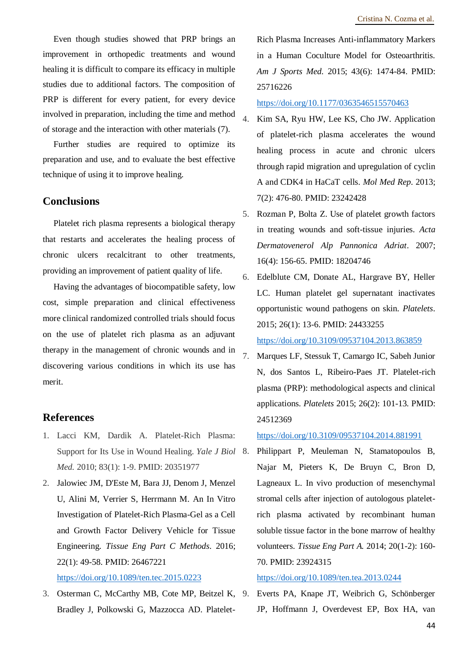Even though studies showed that PRP brings an improvement in orthopedic treatments and wound healing it is difficult to compare its efficacy in multiple studies due to additional factors. The composition of PRP is different for every patient, for every device involved in preparation, including the time and method of storage and the interaction with other materials (7).

Further studies are required to optimize its preparation and use, and to evaluate the best effective technique of using it to improve healing.

# **Conclusions**

Platelet rich plasma represents a biological therapy that restarts and accelerates the healing process of chronic ulcers recalcitrant to other treatments, providing an improvement of patient quality of life.

Having the advantages of biocompatible safety, low cost, simple preparation and clinical effectiveness more clinical randomized controlled trials should focus on the use of platelet rich plasma as an adjuvant therapy in the management of chronic wounds and in discovering various conditions in which its use has merit.

# **References**

- 1. Lacci KM, Dardik A. Platelet-Rich Plasma: Support for Its Use in Wound Healing. *Yale J Biol Med.* 2010; 83(1): 1-9. PMID: 20351977
- 2. Jalowiec JM, D'Este M, Bara JJ, Denom J, Menzel U, Alini M, Verrier S, Herrmann M. An In Vitro Investigation of Platelet-Rich Plasma-Gel as a Cell and Growth Factor Delivery Vehicle for Tissue Engineering. *Tissue Eng Part C Methods*. 2016; 22(1): 49-58. PMID: 26467221

<https://doi.org/10.1089/ten.tec.2015.0223>

3. Osterman C, McCarthy MB, Cote MP, Beitzel K, Bradley J, Polkowski G, Mazzocca AD. Platelet-

Rich Plasma Increases Anti-inflammatory Markers in a Human Coculture Model for Osteoarthritis. *Am J Sports Med.* 2015; 43(6): 1474-84. PMID: 25716226

#### <https://doi.org/10.1177/0363546515570463>

- 4. Kim SA, Ryu HW, Lee KS, Cho JW. Application of platelet-rich plasma accelerates the wound healing process in acute and chronic ulcers through rapid migration and upregulation of cyclin A and CDK4 in HaCaT cells. *Mol Med Rep*. 2013; 7(2): 476-80. PMID: 23242428
- 5. Rozman P, Bolta Z. Use of platelet growth factors in treating wounds and soft-tissue injuries. *Acta Dermatovenerol Alp Pannonica Adriat*. 2007; 16(4): 156-65. PMID: 18204746
- 6. Edelblute CM, Donate AL, Hargrave BY, Heller LC. Human platelet gel supernatant inactivates opportunistic wound pathogens on skin. *Platelets*. 2015; 26(1): 13-6. PMID: 24433255 <https://doi.org/10.3109/09537104.2013.863859>
- 7. Marques LF, Stessuk T, Camargo IC, Sabeh Junior N, dos Santos L, Ribeiro-Paes JT. Platelet-rich plasma (PRP): methodological aspects and clinical applications. *Platelets* 2015; 26(2): 101-13. PMID: 24512369

<https://doi.org/10.3109/09537104.2014.881991>

8. Philippart P, Meuleman N, Stamatopoulos B, Najar M, Pieters K, De Bruyn C, Bron D, Lagneaux L. In vivo production of mesenchymal stromal cells after injection of autologous plateletrich plasma activated by recombinant human soluble tissue factor in the bone marrow of healthy volunteers. *Tissue Eng Part A.* 2014; 20(1-2): 160- 70. PMID: 23924315

#### <https://doi.org/10.1089/ten.tea.2013.0244>

9. Everts PA, Knape JT, Weibrich G, Schönberger JP, Hoffmann J, Overdevest EP, Box HA, van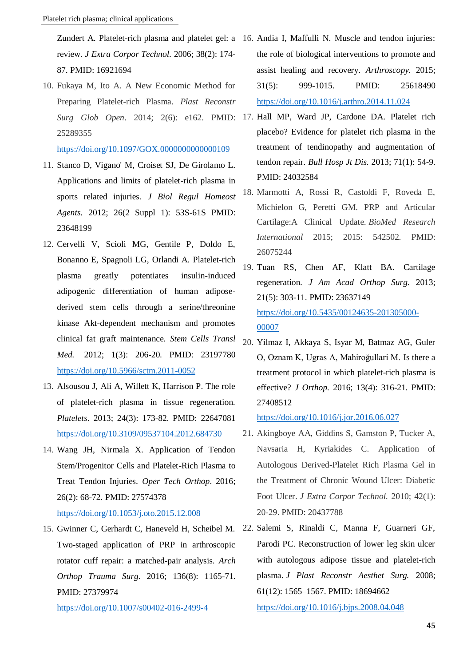Zundert A. Platelet-rich plasma and platelet gel: a 16. Andia I, Maffulli N. Muscle and tendon injuries: review. *J Extra Corpor Technol*. 2006; 38(2): 174- 87. PMID: 16921694

10. Fukaya M, Ito A. A New Economic Method for Preparing Platelet-rich Plasma. *Plast Reconstr*  25289355

<https://doi.org/10.1097/GOX.0000000000000109>

- 11. Stanco D, Vigano' M, Croiset SJ, De Girolamo L. Applications and limits of platelet-rich plasma in sports related injuries. *J Biol Regul Homeost Agents.* 2012; 26(2 Suppl 1): 53S-61S PMID: 23648199
- 12. Cervelli V, Scioli MG, Gentile P, Doldo E, Bonanno E, Spagnoli LG, Orlandi A. Platelet-rich plasma greatly potentiates insulin-induced adipogenic differentiation of human adiposederived stem cells through a serine/threonine kinase Akt-dependent mechanism and promotes clinical fat graft maintenance. *Stem Cells Transl Med.* 2012; 1(3): 206-20. PMID: 23197780 <https://doi.org/10.5966/sctm.2011-0052>
- 13. Alsousou J, Ali A, Willett K, Harrison P. The role of platelet-rich plasma in tissue regeneration. *Platelets*. 2013; 24(3): 173-82. PMID: 22647081 <https://doi.org/10.3109/09537104.2012.684730>
- 14. Wang JH, Nirmala X. Application of Tendon Stem/Progenitor Cells and Platelet-Rich Plasma to Treat Tendon Injuries. *Oper Tech Orthop*. 2016; 26(2): 68-72. PMID: 27574378

#### <https://doi.org/10.1053/j.oto.2015.12.008>

Two-staged application of PRP in arthroscopic rotator cuff repair: a matched-pair analysis. *Arch Orthop Trauma Surg*. 2016; 136(8): 1165-71. PMID: 27379974

<https://doi.org/10.1007/s00402-016-2499-4>

- the role of biological interventions to promote and assist healing and recovery. *Arthroscopy.* 2015; 31(5): 999-1015. PMID: 25618490 <https://doi.org/10.1016/j.arthro.2014.11.024>
- *Surg Glob Open*. 2014; 2(6): e162. PMID: 17. Hall MP, Ward JP, Cardone DA. Platelet rich placebo? Evidence for platelet rich plasma in the treatment of tendinopathy and augmentation of tendon repair. *Bull Hosp Jt Dis.* 2013; 71(1): 54-9. PMID: 24032584
	- 18. Marmotti A, Rossi R, Castoldi F, Roveda E, Michielon G, Peretti GM. PRP and Articular Cartilage:A Clinical Update. *BioMed Research International* 2015; 2015: 542502. PMID: 26075244
	- 19. Tuan RS, Chen AF, Klatt BA. Cartilage regeneration. *J Am Acad Orthop Surg*. 2013; 21(5): 303-11. PMID: 23637149 [https://doi.org/10.5435/00124635-201305000-](https://doi.org/10.5435/00124635-201305000-00007) [00007](https://doi.org/10.5435/00124635-201305000-00007)
	- 20. Yilmaz I, Akkaya S, Isyar M, Batmaz AG, Guler O, Oznam K, Ugras A, Mahiroğullari M. Is there a treatment protocol in which platelet-rich plasma is effective? *J Orthop.* 2016; 13(4): 316-21. PMID: 27408512

<https://doi.org/10.1016/j.jor.2016.06.027>

- 21. Akingboye AA, Giddins S, Gamston P, Tucker A, Navsaria H, Kyriakides C. Application of Autologous Derived-Platelet Rich Plasma Gel in the Treatment of Chronic Wound Ulcer: Diabetic Foot Ulcer. *J Extra Corpor Technol.* 2010; 42(1): 20-29. PMID: 20437788
- 15. Gwinner C, Gerhardt C, Haneveld H, Scheibel M. 22. Salemi S, Rinaldi C, Manna F, Guarneri GF, Parodi PC. Reconstruction of lower leg skin ulcer with autologous adipose tissue and platelet-rich plasma. *J Plast Reconstr Aesthet Surg.* 2008; 61(12): 1565–1567. PMID: 18694662

<https://doi.org/10.1016/j.bjps.2008.04.048>